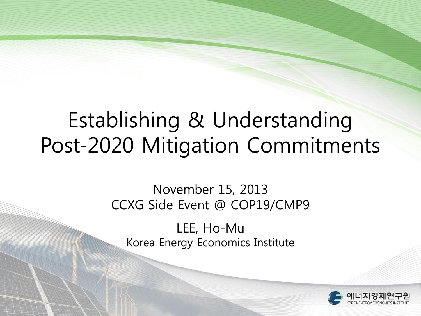## Establishing & Understanding Post-2020 Mitigation Commitments

#### November 15, 2013 CCXG Side Event @ COP19/CMP9

LEE, Ho-Mu Korea Energy Economics Institute

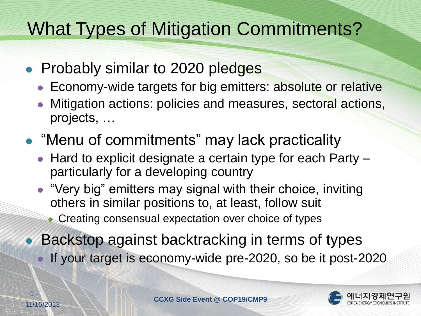### What Types of Mitigation Commitments?

- Probably similar to 2020 pledges
	- **Economy-wide targets for big emitters: absolute or relative**
	- Mitigation actions: policies and measures, sectoral actions, projects, …
- "Menu of commitments" may lack practicality
	- Hard to explicit designate a certain type for each Party particularly for a developing country
	- "Very big" emitters may signal with their choice, inviting others in similar positions to, at least, follow suit
		- **Creating consensual expectation over choice of types**
- Backstop against backtracking in terms of types If your target is economy-wide pre-2020, so be it post-2020

- 1 -

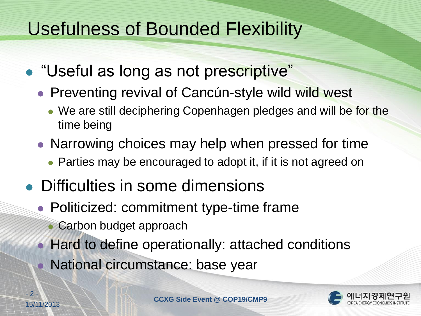#### Usefulness of Bounded Flexibility

- "Useful as long as not prescriptive"
	- Preventing revival of Cancún-style wild wild west
		- We are still deciphering Copenhagen pledges and will be for the time being
	- Narrowing choices may help when pressed for time
		- Parties may be encouraged to adopt it, if it is not agreed on
- Difficulties in some dimensions
	- Politicized: commitment type-time frame
		- Carbon budget approach
	- Hard to define operationally: attached conditions
		- National circumstance: base year

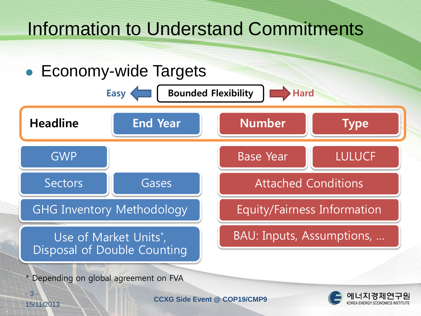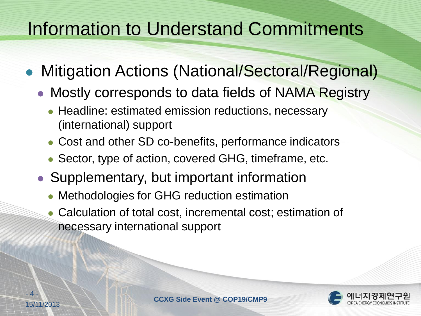#### Information to Understand Commitments

- Mitigation Actions (National/Sectoral/Regional)
	- Mostly corresponds to data fields of NAMA Registry
		- Headline: estimated emission reductions, necessary (international) support
		- Cost and other SD co-benefits, performance indicators
		- Sector, type of action, covered GHG, timeframe, etc.
	- Supplementary, but important information
		- Methodologies for GHG reduction estimation
		- Calculation of total cost, incremental cost; estimation of necessary international support



 $\mathbf{\Lambda}$  .

15/11/2013 **CCXG Side Event @ COP19/CMP9**